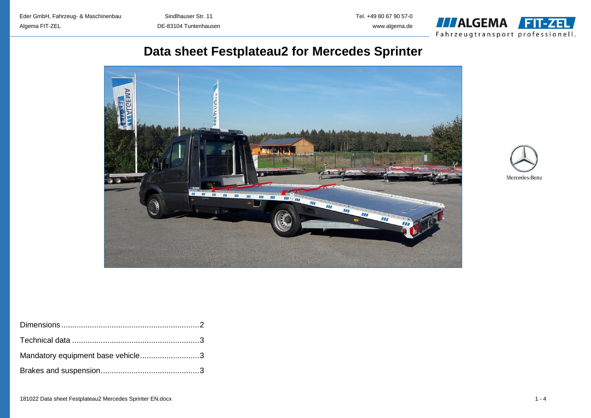

# **Data sheet Festplateau2 for Mercedes Sprinter**





| Mandatory equipment base vehicle3 |  |
|-----------------------------------|--|
|                                   |  |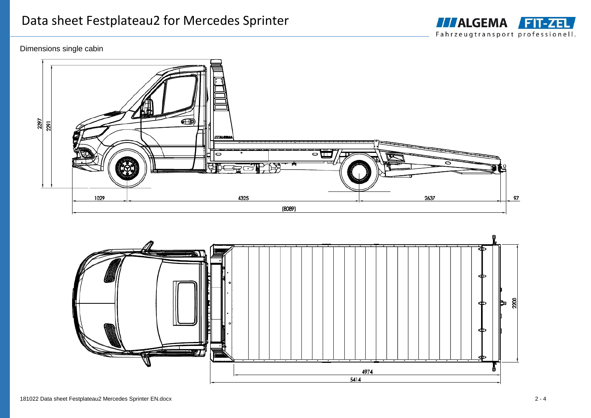

## Dimensions single cabin



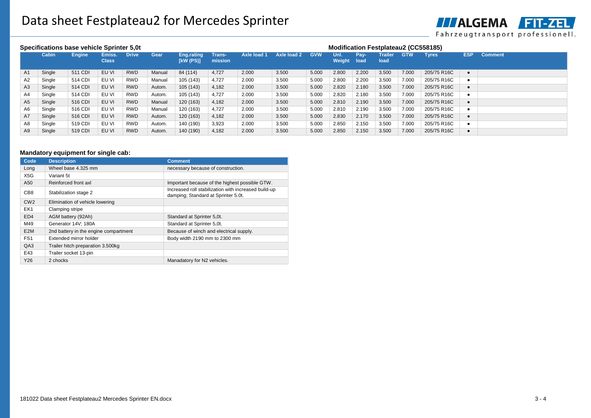

| Specifications base vehicle Sprinter 5.0t |        |               |                        |              |        |                         | <b>Modification Festplateau2 (CC558185)</b> |             |             |            |                |              |                        |            |              |            |                |
|-------------------------------------------|--------|---------------|------------------------|--------------|--------|-------------------------|---------------------------------------------|-------------|-------------|------------|----------------|--------------|------------------------|------------|--------------|------------|----------------|
|                                           | Cabin  | <b>Engine</b> | Emiss.<br><b>Class</b> | <b>Drive</b> | Gear   | Eng.rating<br>[kW (PS)] | <b>Trans-</b><br>mission                    | Axle load 1 | Axle load 2 | <b>GVW</b> | Unl.<br>Weight | Pay-<br>load | <b>Trailer</b><br>load | <b>GTW</b> | <b>Tyres</b> | <b>ESP</b> | <b>Comment</b> |
| A1                                        | Single | 511 CDI       | EU VI                  | <b>RWD</b>   | Manual | 84 (114)                | 4,727                                       | 2.000       | 3.500       | 5.000      | 2.800          | 2.200        | 3.500                  | 7.000      | 205/75 R16C  |            |                |
| A2                                        | Single | 514 CDI       | EU VI                  | <b>RWD</b>   | Manual | 105 (143)               | 4,727                                       | 2.000       | 3.500       | 5.000      | 2.800          | 2.200        | 3.500                  | 7.000      | 205/75 R16C  |            |                |
| A3                                        | Single | 514 CDI       | EU VI                  | <b>RWD</b>   | Autom. | 105 (143)               | 4,182                                       | 2.000       | 3.500       | 5.000      | 2.820          | 2.180        | 3.500                  | 7.000      | 205/75 R16C  |            |                |
| A4                                        | Single | 514 CDI       | EU VI                  | <b>RWD</b>   | Autom. | 105 (143)               | 4.727                                       | 2.000       | 3.500       | 5.000      | 2.820          | 2.180        | 3.500                  | 7.000      | 205/75 R16C  |            |                |
| A <sub>5</sub>                            | Single | 516 CDI       | EU VI                  | <b>RWD</b>   | Manual | 120 (163)               | 4,182                                       | 2.000       | 3.500       | 5.000      | 2.810          | 2.190        | 3.500                  | 7.000      | 205/75 R16C  |            |                |
| A6                                        | Single | 516 CDI       | EU VI                  | <b>RWD</b>   | Manual | 120 (163)               | 4,727                                       | 2.000       | 3.500       | 5.000      | 2.810          | 2.190        | 3.500                  | 7.000      | 205/75 R16C  |            |                |
| A7                                        | Single | 516 CDI       | EU VI                  | <b>RWD</b>   | Autom. | 120 (163)               | 4,182                                       | 2.000       | 3.500       | 5.000      | 2.830          | 2.170        | 3.500                  | 7.000      | 205/75 R16C  |            |                |
| A8                                        | Single | 519 CDI       | EU VI                  | <b>RWD</b>   | Autom. | 140 (190)               | 3,923                                       | 2.000       | 3.500       | 5.000      | 2.850          | 2.150        | 3.500                  | 7.000      | 205/75 R16C  |            |                |
| A9                                        | Single | 519 CDI       | EU VI                  | <b>RWD</b>   | Autom. | 140 (190)               | 4.182                                       | 2.000       | 3.500       | 5.000      | 2.850          | 2.150        | 3.500                  | 7.000      | 205/75 R16C  |            |                |

### **Mandatory equipment for single cab:**

| Code             | <b>Description</b>                    | <b>Comment</b>                                                                              |
|------------------|---------------------------------------|---------------------------------------------------------------------------------------------|
| Long             | Wheel base 4.325 mm                   | necessary because of construction.                                                          |
| X5G              | Variant 5t                            |                                                                                             |
| A50              | Reinforced front axl                  | Important because of the highest possible GTW.                                              |
| CB <sub>8</sub>  | Stabilization stage 2                 | Increased roll stabilization with increased build-up<br>damping; Standard at Sprinter 5.0t. |
| CW2              | Elimination of vehicle lowering       |                                                                                             |
| EK1              | Clamping stripe                       |                                                                                             |
| ED <sub>4</sub>  | AGM battery (92Ah)                    | Standard at Sprinter 5,0t.                                                                  |
| M49              | Generator 14V: 180A                   | Standard at Sprinter 5,0t.                                                                  |
| E <sub>2</sub> M | 2nd battery in the engine compartment | Because of winch and electrical supply.                                                     |
| FS <sub>1</sub>  | Extended mirror holder                | Body width 2190 mm to 2300 mm                                                               |
| QA3              | Trailer hitch preparation 3.500kg     |                                                                                             |
| E43              | Trailer socket 13-pin                 |                                                                                             |
| Y26              | 2 chocks                              | Manadatory for N2 vehicles.                                                                 |